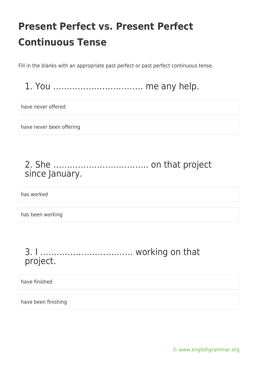Fill in the blanks with an appropriate past perfect or past perfect continuous tense.

### 1. You …………………………… me any help.

have never offered

have never been offering

### 2. She …………………………….. on that project since January.

has worked

has been working

#### 3. I ……………………………. working on that project.

have finished

have been finishing

[© www.englishgrammar.org](https://www.englishgrammar.org/)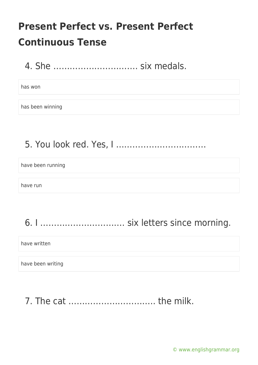4. She …………………………. six medals.

has won

has been winning

5. You look red. Yes, I ……………………………

have been running

have run

6. I …………………………. six letters since morning.

have written

have been writing

7. The cat ………………………….. the milk.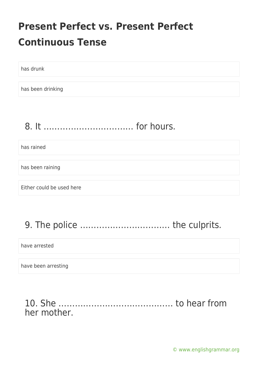has drunk

has been drinking

### 8. It …………………………… for hours.

has rained

has been raining

Either could be used here

## 9. The police …………………………… the culprits.

have arrested

have been arresting

#### 10. She …………………………………… to hear from her mother.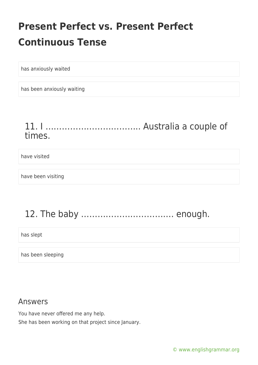has anxiously waited

has been anxiously waiting

### 11. I …………………………….. Australia a couple of times.

#### have visited

have been visiting

## 12. The baby ……………………………. enough.

has slept

has been sleeping

#### Answers

You have never offered me any help. She has been working on that project since January.